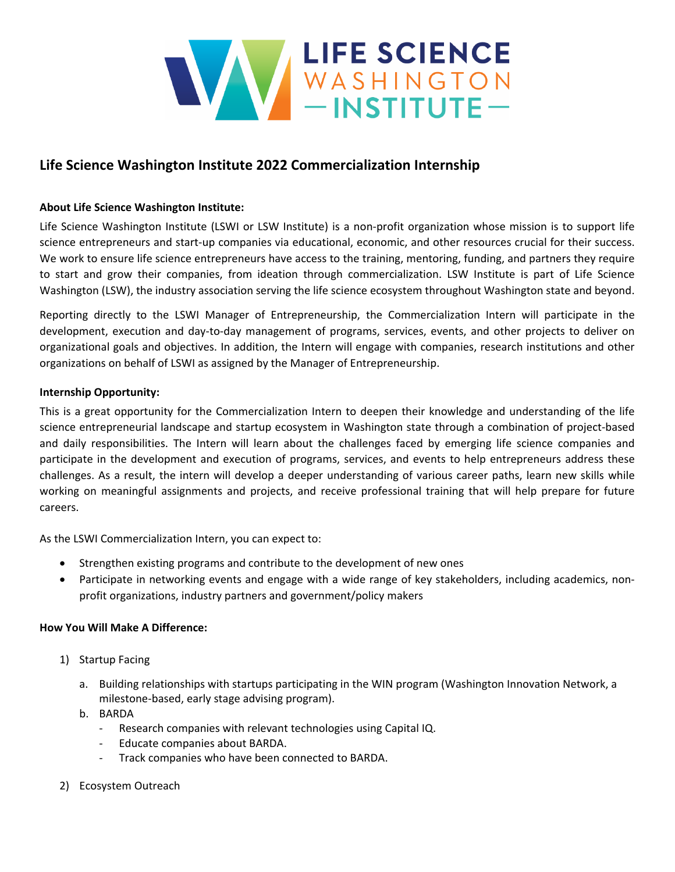

# **Life Science Washington Institute 2022 Commercialization Internship**

## **About Life Science Washington Institute:**

Life Science Washington Institute (LSWI or LSW Institute) is a non-profit organization whose mission is to support life science entrepreneurs and start-up companies via educational, economic, and other resources crucial for their success. We work to ensure life science entrepreneurs have access to the training, mentoring, funding, and partners they require to start and grow their companies, from ideation through commercialization. LSW Institute is part of Life Science Washington (LSW), the industry association serving the life science ecosystem throughout Washington state and beyond.

Reporting directly to the LSWI Manager of Entrepreneurship, the Commercialization Intern will participate in the development, execution and day‐to‐day management of programs, services, events, and other projects to deliver on organizational goals and objectives. In addition, the Intern will engage with companies, research institutions and other organizations on behalf of LSWI as assigned by the Manager of Entrepreneurship.

## **Internship Opportunity:**

This is a great opportunity for the Commercialization Intern to deepen their knowledge and understanding of the life science entrepreneurial landscape and startup ecosystem in Washington state through a combination of project-based and daily responsibilities. The Intern will learn about the challenges faced by emerging life science companies and participate in the development and execution of programs, services, and events to help entrepreneurs address these challenges. As a result, the intern will develop a deeper understanding of various career paths, learn new skills while working on meaningful assignments and projects, and receive professional training that will help prepare for future careers.

As the LSWI Commercialization Intern, you can expect to:

- Strengthen existing programs and contribute to the development of new ones
- Participate in networking events and engage with a wide range of key stakeholders, including academics, nonprofit organizations, industry partners and government/policy makers

## **How You Will Make A Difference:**

- 1) Startup Facing
	- a. Building relationships with startups participating in the WIN program (Washington Innovation Network, a milestone‐based, early stage advising program).
	- b. BARDA
		- ‐ Research companies with relevant technologies using Capital IQ.
		- ‐ Educate companies about BARDA.
		- ‐ Track companies who have been connected to BARDA.
- 2) Ecosystem Outreach